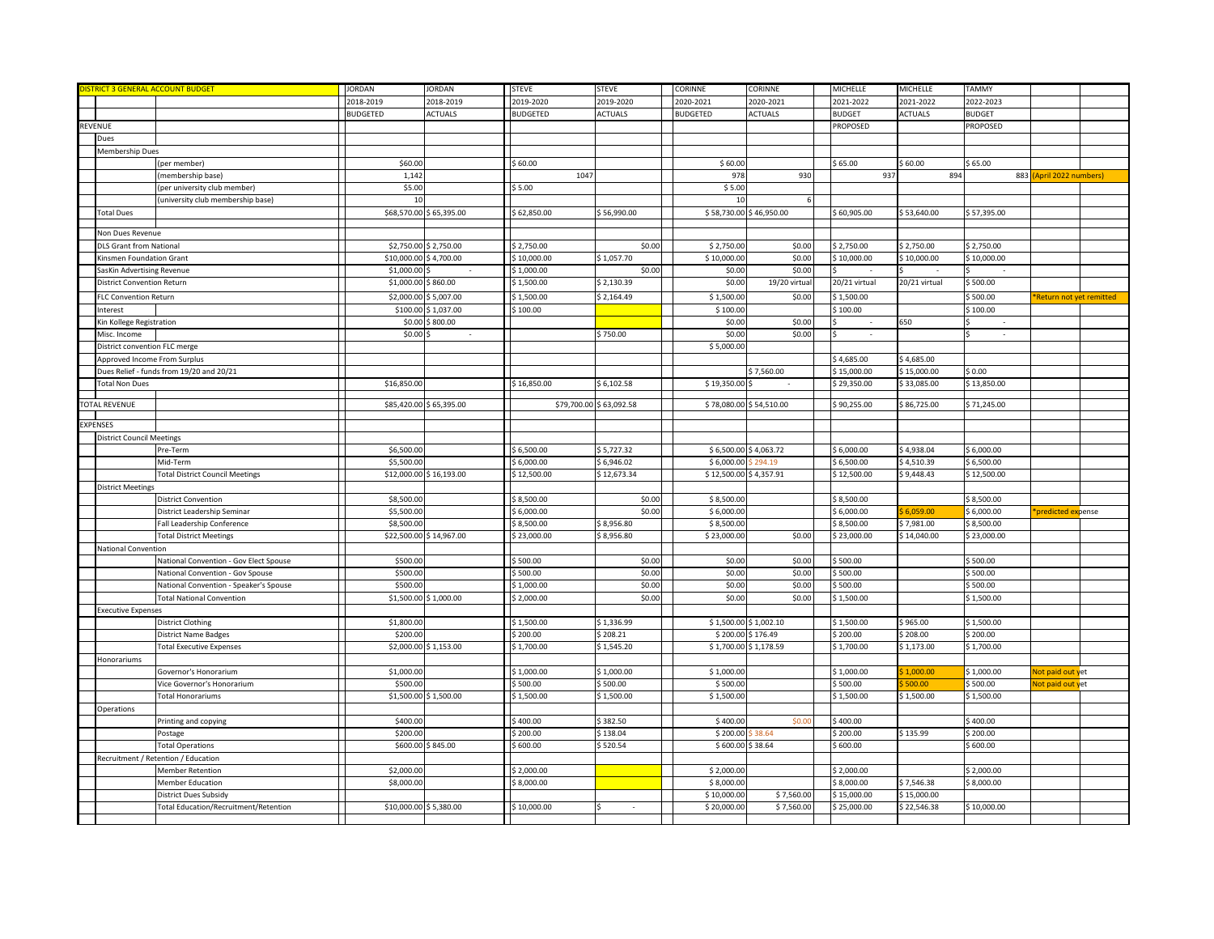| <b>ISTRICT 3 GENERAL ACCOUNT BUDGET</b> |                                          | <b>JORDAN</b>          | <b>JORDAN</b>           | <b>STEVE</b>    | <b>STEVE</b>            | CORINNE                 | CORINNE                 | MICHELLE               | MICHELLE       | TAMMY                  |                          |  |
|-----------------------------------------|------------------------------------------|------------------------|-------------------------|-----------------|-------------------------|-------------------------|-------------------------|------------------------|----------------|------------------------|--------------------------|--|
|                                         |                                          | 2018-2019              | 2018-2019               | 2019-2020       | 2019-2020               | 2020-2021               | 2020-2021               | 2021-2022              | 2021-2022      | 2022-2023              |                          |  |
|                                         |                                          | <b>BUDGETED</b>        | <b>ACTUALS</b>          | <b>BUDGETED</b> | <b>ACTUALS</b>          | <b>BUDGETED</b>         | <b>ACTUALS</b>          | <b>BUDGET</b>          | <b>ACTUALS</b> | <b>BUDGET</b>          |                          |  |
| REVENUE                                 |                                          |                        |                         |                 |                         |                         |                         | PROPOSED               |                | PROPOSED               |                          |  |
| Dues                                    |                                          |                        |                         |                 |                         |                         |                         |                        |                |                        |                          |  |
| Membership Dues                         |                                          |                        |                         |                 |                         |                         |                         |                        |                |                        |                          |  |
|                                         | (per member)                             | \$60.00                |                         | \$60.00         |                         | \$60.00                 |                         | \$65.00                | \$60.00        | \$65.00                |                          |  |
|                                         | (membership base)                        | 1,142                  |                         | 1047            |                         | 978                     | 930                     | 937                    | 894            |                        | 883 (April 2022 numbers) |  |
|                                         | (per university club member)             | \$5.00                 |                         | \$5.00          |                         | \$5.00                  |                         |                        |                |                        |                          |  |
|                                         | (university club membership base)        | 10                     |                         |                 |                         | 10                      |                         |                        |                |                        |                          |  |
| <b>Total Dues</b>                       |                                          |                        | \$68,570.00 \$65,395.00 | \$62,850.00     | \$56,990.00             | \$58,730.00 \$46,950.00 |                         | \$60,905.00            | \$53,640.00    | \$57,395.00            |                          |  |
|                                         |                                          |                        |                         |                 |                         |                         |                         |                        |                |                        |                          |  |
| Non Dues Revenue                        |                                          |                        |                         |                 |                         |                         |                         |                        |                |                        |                          |  |
| DLS Grant from National                 |                                          |                        | \$2,750.00 \$2,750.00   | \$2,750.00      | \$0.00                  | \$2,750.00              | \$0.00                  | \$2,750.00             | \$2,750.00     | \$2,750.00             |                          |  |
| Kinsmen Foundation Grant                |                                          | \$10,000.00 \$4,700.00 |                         | \$10,000.00     | \$1,057.70              | \$10,000.00             | \$0.00                  | \$10,000.00            | \$10,000.00    | \$10,000.00            |                          |  |
| SasKin Advertising Revenue              |                                          | \$1,000.00             |                         | \$1,000.00      | \$0.00                  | \$0.00                  | \$0.00                  |                        |                |                        |                          |  |
| District Convention Return              |                                          | \$1,000.00 \$860.00    |                         | \$1,500.00      | \$2,130.39              | \$0.00                  | 19/20 virtua            | 20/21 virtual          | 20/21 virtual  | \$500.00               |                          |  |
| <b>FLC Convention Return</b>            |                                          |                        | \$2,000.00 \$5,007.00   | \$1,500.00      | \$2,164.49              | \$1,500.00              | \$0.00                  | \$1,500.00             |                | \$500.00               | Return not yet remitted  |  |
| Interest                                |                                          |                        | \$100.00 \$1,037.00     | \$100.00        |                         | \$100.00                |                         | \$100.00               |                | \$100.00               |                          |  |
| Kin Kollege Registration                |                                          |                        | \$0.00 \$800.00         |                 |                         | \$0.00                  | \$0.00                  |                        | 650            |                        |                          |  |
|                                         |                                          |                        |                         |                 |                         |                         |                         |                        |                |                        |                          |  |
| Misc. Income                            |                                          | \$0.00                 |                         |                 | \$750.00                | \$0.00                  | \$0.00                  | $\sim$                 |                | $\sim$                 |                          |  |
| District convention FLC merge           |                                          |                        |                         |                 |                         | \$5,000.00              |                         |                        |                |                        |                          |  |
| Approved Income From Surplus            |                                          |                        |                         |                 |                         |                         |                         | \$4,685.00             | \$4,685.00     |                        |                          |  |
|                                         | Dues Relief - funds from 19/20 and 20/21 |                        |                         |                 |                         |                         | \$7,560.00              | \$15,000.00            | \$15,000.00    | \$0.00                 |                          |  |
| <b>Total Non Dues</b>                   |                                          | \$16,850.00            |                         | \$16,850.00     | \$6,102.58              | \$19,350.00             |                         | \$29,350.00            | \$33,085.00    | \$13,850.00            |                          |  |
| <b>FOTAL REVENUE</b>                    |                                          |                        | \$85,420.00 \$65,395.00 |                 | \$79,700.00 \$63,092.58 |                         | \$78,080.00 \$54,510.00 | \$90,255.00            | \$86,725.00    | \$71,245.00            |                          |  |
|                                         |                                          |                        |                         |                 |                         |                         |                         |                        |                |                        |                          |  |
| EXPENSES                                |                                          |                        |                         |                 |                         |                         |                         |                        |                |                        |                          |  |
| <b>District Council Meetings</b>        |                                          |                        |                         |                 |                         |                         |                         |                        |                |                        |                          |  |
|                                         | Pre-Term                                 | \$6,500.00             |                         | \$6,500.00      | \$5,727.32              | \$6,500.00 \$4,063.72   |                         | \$6,000.00             | \$4,938.04     | \$6,000.00             |                          |  |
|                                         | Mid-Term                                 | \$5,500.00             |                         | \$6,000.00      | \$6,946.02              | \$6,000.00              | 294.19                  | \$6,500.00             | \$4,510.39     | \$6,500.00             |                          |  |
|                                         | <b>Total District Council Meetings</b>   |                        | \$12,000.00 \$16,193.00 | \$12,500.00     | \$12,673.34             | \$12,500.00             | \$4,357.91              | \$12,500.00            | \$9,448.43     | \$12,500.00            |                          |  |
| <b>District Meetings</b>                |                                          |                        |                         |                 |                         |                         |                         |                        |                |                        |                          |  |
|                                         | <b>District Convention</b>               | \$8,500.00             |                         | \$8,500.00      | \$0.00                  | \$8,500.00              |                         | \$8,500.00             |                | \$8,500.00             |                          |  |
|                                         | District Leadership Seminar              | \$5,500.00             |                         | \$6,000.00      | \$0.00                  | \$6,000.00              |                         | \$6,000.00             | 6,059.00       | 6,000.00               | predicted expense        |  |
|                                         | Fall Leadership Conference               | \$8,500.00             |                         | \$8,500.00      | \$8,956.80              | \$8,500.00              |                         | \$8,500.00             | \$7,981.00     | \$8,500.00             |                          |  |
|                                         | <b>Total District Meetings</b>           |                        | \$22,500.00 \$14,967.00 | \$23,000.00     | \$8,956.80              | \$23,000.00             | \$0.00                  | \$23,000.00            | \$14,040.00    | \$23,000.00            |                          |  |
| National Convention                     |                                          |                        |                         |                 |                         |                         |                         |                        |                |                        |                          |  |
|                                         | National Convention - Gov Elect Spouse   | \$500.00               |                         | \$500.00        | \$0.00                  | \$0.00                  | \$0.00                  | \$500.00               |                | \$500.00               |                          |  |
|                                         | National Convention - Gov Spouse         | \$500.00               |                         | \$500.00        | \$0.00                  | \$0.00                  | \$0.00                  | \$500.00               |                | \$500.00               |                          |  |
|                                         | National Convention - Speaker's Spouse   | \$500.00               |                         | \$1,000.00      | \$0.00                  | \$0.00                  | \$0.00                  | \$500.00               |                | \$500.00               |                          |  |
|                                         |                                          |                        |                         |                 | \$0.00                  | \$0.00                  | \$0.00                  |                        |                | \$1,500.00             |                          |  |
| <b>Executive Expenses</b>               | <b>Total National Convention</b>         |                        | \$1,500.00 \$1,000.00   | \$2,000.00      |                         |                         |                         | \$1,500.00             |                |                        |                          |  |
|                                         |                                          |                        |                         | \$1,500.00      | \$1,336.99              | \$1,500.00 \$1,002.10   |                         |                        | \$965.00       |                        |                          |  |
|                                         | District Clothing                        | \$1,800.00<br>\$200.00 |                         | \$200.00        | \$208.21                | \$200.00                | \$176.49                | \$1,500.00<br>\$200.00 | \$208.00       | \$1,500.00<br>\$200.00 |                          |  |
|                                         | <b>District Name Badges</b>              |                        |                         |                 |                         |                         |                         |                        |                |                        |                          |  |
|                                         | <b>Total Executive Expenses</b>          |                        | \$2,000.00 \$1,153.00   | \$1,700.00      | \$1,545.20              | \$1,700.00 \$1,178.59   |                         | \$1,700.00             | \$1,173.00     | \$1,700.00             |                          |  |
| Honorariums                             |                                          |                        |                         |                 |                         |                         |                         |                        |                |                        |                          |  |
|                                         | Governor's Honorarium                    | \$1,000.00             |                         | \$1,000.00      | \$1,000.00              | \$1,000.00              |                         | \$1,000.00             | 1,000.00       | \$1,000.00             | Not paid out yet         |  |
|                                         | Vice Governor's Honorarium               | \$500.00               |                         | \$500.00        | \$500.00                | \$500.00                |                         | \$500.00               | \$500.00       | \$500.00               | Not paid out yet         |  |
|                                         | Total Honorariums                        |                        | \$1,500.00 \$1,500.00   | \$1,500.00      | \$1,500.00              | \$1,500.00              |                         | \$1,500.00             | \$1,500.00     | \$1,500.00             |                          |  |
| Operations                              |                                          |                        |                         |                 |                         |                         |                         |                        |                |                        |                          |  |
|                                         | Printing and copying                     | \$400.00               |                         | \$400.00        | \$382.50                | \$400.00                | \$0.0                   | \$400.00               |                | \$400.00               |                          |  |
|                                         | Postage                                  | \$200.00               |                         | \$200.00        | \$138.04                | \$200.00                | \$38.64                 | \$200.00               | \$135.99       | \$200.00               |                          |  |
|                                         | <b>Total Operations</b>                  |                        | \$600.00 \$845.00       | \$600.00        | \$520.54                | \$600.00                | \$38.64                 | \$600.00               |                | \$600.00               |                          |  |
| Recruitment / Retention / Education     |                                          |                        |                         |                 |                         |                         |                         |                        |                |                        |                          |  |
|                                         | Member Retention                         | \$2,000.00             |                         | \$2,000.00      |                         | \$2,000.00              |                         | \$2,000.00             |                | \$2,000.00             |                          |  |
|                                         | <b>Member Education</b>                  | \$8,000.00             |                         | \$8,000.00      |                         | \$8,000.00              |                         | \$8,000.00             | \$7,546.38     | \$8,000.00             |                          |  |
|                                         | District Dues Subsidy                    |                        |                         |                 |                         | \$10,000.00             | \$7,560.00              | \$15,000.00            | \$15,000.00    |                        |                          |  |
|                                         | Total Education/Recruitment/Retention    | \$10,000.00 \$5,380.00 |                         | \$10,000.00     |                         | \$20,000.00             | \$7,560.00              | \$25,000.00            | \$22,546.38    | \$10,000.00            |                          |  |
|                                         |                                          |                        |                         |                 |                         |                         |                         |                        |                |                        |                          |  |